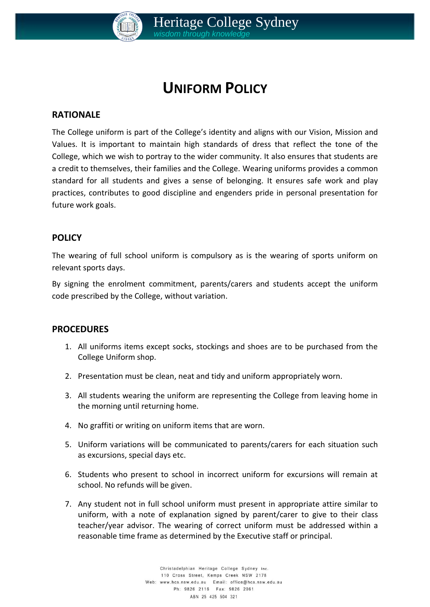

# **UNIFORM POLICY**

#### **RATIONALE**

The College uniform is part of the College's identity and aligns with our Vision, Mission and Values. It is important to maintain high standards of dress that reflect the tone of the College, which we wish to portray to the wider community. It also ensures that students are a credit to themselves, their families and the College. Wearing uniforms provides a common standard for all students and gives a sense of belonging. It ensures safe work and play practices, contributes to good discipline and engenders pride in personal presentation for future work goals.

#### **POLICY**

The wearing of full school uniform is compulsory as is the wearing of sports uniform on relevant sports days.

By signing the enrolment commitment, parents/carers and students accept the uniform code prescribed by the College, without variation.

#### **PROCEDURES**

- 1. All uniforms items except socks, stockings and shoes are to be purchased from the College Uniform shop.
- 2. Presentation must be clean, neat and tidy and uniform appropriately worn.
- 3. All students wearing the uniform are representing the College from leaving home in the morning until returning home.
- 4. No graffiti or writing on uniform items that are worn.
- 5. Uniform variations will be communicated to parents/carers for each situation such as excursions, special days etc.
- 6. Students who present to school in incorrect uniform for excursions will remain at school. No refunds will be given.
- 7. Any student not in full school uniform must present in appropriate attire similar to uniform, with a note of explanation signed by parent/carer to give to their class teacher/year advisor. The wearing of correct uniform must be addressed within a reasonable time frame as determined by the Executive staff or principal.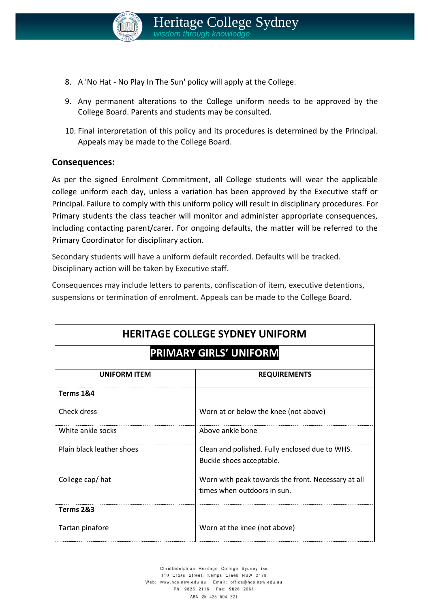

- 8. A 'No Hat No Play In The Sun' policy will apply at the College.
- 9. Any permanent alterations to the College uniform needs to be approved by the College Board. Parents and students may be consulted.
- 10. Final interpretation of this policy and its procedures is determined by the Principal. Appeals may be made to the College Board.

#### **Consequences:**

As per the signed Enrolment Commitment, all College students will wear the applicable college uniform each day, unless a variation has been approved by the Executive staff or Principal. Failure to comply with this uniform policy will result in disciplinary procedures. For Primary students the class teacher will monitor and administer appropriate consequences, including contacting parent/carer. For ongoing defaults, the matter will be referred to the Primary Coordinator for disciplinary action.

Secondary students will have a uniform default recorded. Defaults will be tracked. Disciplinary action will be taken by Executive staff.

Consequences may include letters to parents, confiscation of item, executive detentions, suspensions or termination of enrolment. Appeals can be made to the College Board.

| <b>HERITAGE COLLEGE SYDNEY UNIFORM</b><br><b>PRIMARY GIRLS' UNIFORM</b> |                                                                                   |  |
|-------------------------------------------------------------------------|-----------------------------------------------------------------------------------|--|
|                                                                         |                                                                                   |  |
| Terms 1&4                                                               |                                                                                   |  |
| Check dress                                                             | Worn at or below the knee (not above)                                             |  |
| White ankle socks                                                       | Above ankle bone                                                                  |  |
| Plain black leather shoes                                               | Clean and polished. Fully enclosed due to WHS.<br>Buckle shoes acceptable.        |  |
| College cap/hat                                                         | Worn with peak towards the front. Necessary at all<br>times when outdoors in sun. |  |
| Terms 2&3                                                               |                                                                                   |  |
| Tartan pinafore                                                         | Worn at the knee (not above)                                                      |  |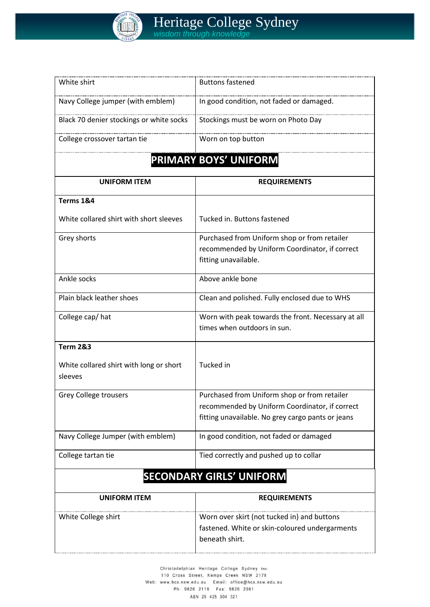

| White shirt                                        | <b>Buttons fastened</b>                            |  |
|----------------------------------------------------|----------------------------------------------------|--|
| Navy College jumper (with emblem)                  | In good condition, not faded or damaged.           |  |
| Black 70 denier stockings or white socks           | Stockings must be worn on Photo Day                |  |
| College crossover tartan tie                       | Worn on top button                                 |  |
|                                                    | PRIMARY BOYS' UNIFORM                              |  |
| <b>UNIFORM ITEM</b>                                | <b>REQUIREMENTS</b>                                |  |
| Terms 1&4                                          |                                                    |  |
| White collared shirt with short sleeves            | Tucked in. Buttons fastened                        |  |
| Grey shorts                                        | Purchased from Uniform shop or from retailer       |  |
|                                                    | recommended by Uniform Coordinator, if correct     |  |
|                                                    | fitting unavailable.                               |  |
| Ankle socks                                        | Above ankle bone                                   |  |
| Plain black leather shoes                          | Clean and polished. Fully enclosed due to WHS      |  |
| College cap/hat                                    | Worn with peak towards the front. Necessary at all |  |
|                                                    | times when outdoors in sun.                        |  |
| <b>Term 2&amp;3</b>                                |                                                    |  |
| White collared shirt with long or short<br>sleeves | Tucked in                                          |  |
| <b>Grey College trousers</b>                       | Purchased from Uniform shop or from retailer       |  |
|                                                    | recommended by Uniform Coordinator, if correct     |  |
|                                                    | fitting unavailable. No grey cargo pants or jeans  |  |
| Navy College Jumper (with emblem)                  | In good condition, not faded or damaged            |  |
| College tartan tie                                 | Tied correctly and pushed up to collar             |  |
| <b>SECONDARY GIRLS' UNIFORM</b>                    |                                                    |  |
| <b>UNIFORM ITEM</b>                                | <b>REQUIREMENTS</b>                                |  |
| White College shirt                                | Worn over skirt (not tucked in) and buttons        |  |
|                                                    | fastened. White or skin-coloured undergarments     |  |
|                                                    | beneath shirt.                                     |  |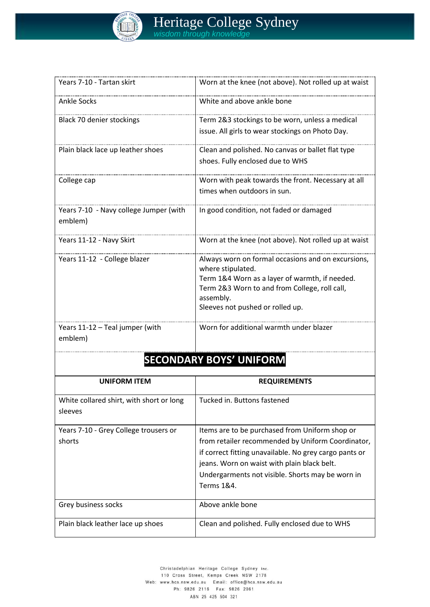

| Years 7-10 - Tartan skirt                         | Worn at the knee (not above). Not rolled up at waist                                                                                                                                                                        |  |
|---------------------------------------------------|-----------------------------------------------------------------------------------------------------------------------------------------------------------------------------------------------------------------------------|--|
| <b>Ankle Socks</b>                                | White and above ankle bone                                                                                                                                                                                                  |  |
| <b>Black 70 denier stockings</b>                  | Term 2&3 stockings to be worn, unless a medical<br>issue. All girls to wear stockings on Photo Day.                                                                                                                         |  |
| Plain black lace up leather shoes                 | Clean and polished. No canvas or ballet flat type<br>shoes. Fully enclosed due to WHS                                                                                                                                       |  |
| College cap                                       | Worn with peak towards the front. Necessary at all<br>times when outdoors in sun.                                                                                                                                           |  |
| Years 7-10 - Navy college Jumper (with<br>emblem) | In good condition, not faded or damaged                                                                                                                                                                                     |  |
| Years 11-12 - Navy Skirt                          | Worn at the knee (not above). Not rolled up at waist                                                                                                                                                                        |  |
| Years 11-12 - College blazer                      | Always worn on formal occasions and on excursions,<br>where stipulated.<br>Term 1&4 Worn as a layer of warmth, if needed.<br>Term 2&3 Worn to and from College, roll call,<br>assembly.<br>Sleeves not pushed or rolled up. |  |
| Years 11-12 - Teal jumper (with<br>emblem)        | Worn for additional warmth under blazer                                                                                                                                                                                     |  |
| <b>SECONDARY BOYS' UNIFORM</b>                    |                                                                                                                                                                                                                             |  |
| <b>UNIFORM ITEM</b>                               | <b>REQUIREMENTS</b>                                                                                                                                                                                                         |  |

| <b>UNIFORM ITEM</b>                      | <b>REQUIREMENTS</b>                                    |
|------------------------------------------|--------------------------------------------------------|
| White collared shirt, with short or long | Tucked in. Buttons fastened                            |
| sleeves                                  |                                                        |
| Years 7-10 - Grey College trousers or    | Items are to be purchased from Uniform shop or         |
| shorts                                   | from retailer recommended by Uniform Coordinator,      |
|                                          | if correct fitting unavailable. No grey cargo pants or |
|                                          | jeans. Worn on waist with plain black belt.            |
|                                          | Undergarments not visible. Shorts may be worn in       |
|                                          | Terms 1&4.                                             |
| Grey business socks                      | Above ankle bone                                       |
| Plain black leather lace up shoes        | Clean and polished. Fully enclosed due to WHS          |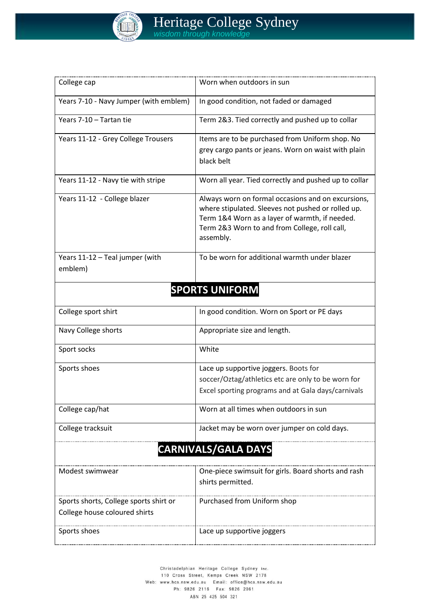

| College cap                                                             | Worn when outdoors in sun                                                                                                                                                                                                |  |
|-------------------------------------------------------------------------|--------------------------------------------------------------------------------------------------------------------------------------------------------------------------------------------------------------------------|--|
| Years 7-10 - Navy Jumper (with emblem)                                  | In good condition, not faded or damaged                                                                                                                                                                                  |  |
| Years 7-10 - Tartan tie                                                 | Term 2&3. Tied correctly and pushed up to collar                                                                                                                                                                         |  |
| Years 11-12 - Grey College Trousers                                     | Items are to be purchased from Uniform shop. No<br>grey cargo pants or jeans. Worn on waist with plain<br>black belt                                                                                                     |  |
| Years 11-12 - Navy tie with stripe                                      | Worn all year. Tied correctly and pushed up to collar                                                                                                                                                                    |  |
| Years 11-12 - College blazer                                            | Always worn on formal occasions and on excursions,<br>where stipulated. Sleeves not pushed or rolled up.<br>Term 1&4 Worn as a layer of warmth, if needed.<br>Term 2&3 Worn to and from College, roll call,<br>assembly. |  |
| Years 11-12 - Teal jumper (with<br>emblem)                              | To be worn for additional warmth under blazer                                                                                                                                                                            |  |
| <b>SPORTS UNIFORM</b>                                                   |                                                                                                                                                                                                                          |  |
| College sport shirt                                                     | In good condition. Worn on Sport or PE days                                                                                                                                                                              |  |
| Navy College shorts                                                     | Appropriate size and length.                                                                                                                                                                                             |  |
| Sport socks                                                             | White                                                                                                                                                                                                                    |  |
| Sports shoes                                                            | Lace up supportive joggers. Boots for<br>soccer/Oztag/athletics etc are only to be worn for<br>Excel sporting programs and at Gala days/carnivals                                                                        |  |
| College cap/hat                                                         | Worn at all times when outdoors in sun                                                                                                                                                                                   |  |
| College tracksuit                                                       | Jacket may be worn over jumper on cold days.                                                                                                                                                                             |  |
| <b>CARNIVALS/GALA DAYS</b>                                              |                                                                                                                                                                                                                          |  |
| Modest swimwear                                                         | One-piece swimsuit for girls. Board shorts and rash<br>shirts permitted.                                                                                                                                                 |  |
| Sports shorts, College sports shirt or<br>College house coloured shirts | Purchased from Uniform shop                                                                                                                                                                                              |  |
| Sports shoes                                                            | Lace up supportive joggers                                                                                                                                                                                               |  |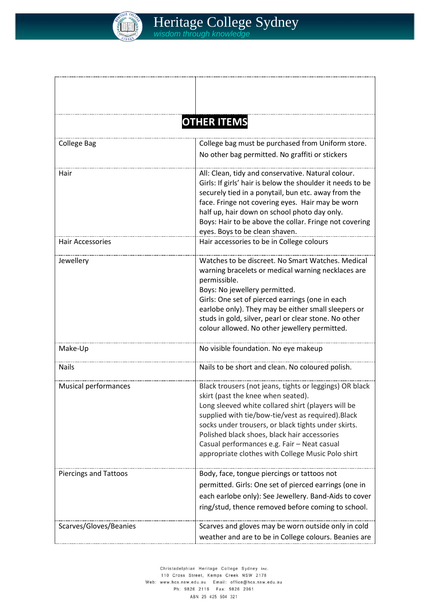

|                              | <b>OTHER ITEMS</b>                                                                                                                                                                                                                                                                                                                                                                                                   |
|------------------------------|----------------------------------------------------------------------------------------------------------------------------------------------------------------------------------------------------------------------------------------------------------------------------------------------------------------------------------------------------------------------------------------------------------------------|
| <b>College Bag</b>           | College bag must be purchased from Uniform store.<br>No other bag permitted. No graffiti or stickers                                                                                                                                                                                                                                                                                                                 |
| Hair                         | All: Clean, tidy and conservative. Natural colour.<br>Girls: If girls' hair is below the shoulder it needs to be<br>securely tied in a ponytail, bun etc. away from the<br>face. Fringe not covering eyes. Hair may be worn<br>half up, hair down on school photo day only.<br>Boys: Hair to be above the collar. Fringe not covering<br>eyes. Boys to be clean shaven.                                              |
| <b>Hair Accessories</b>      | Hair accessories to be in College colours                                                                                                                                                                                                                                                                                                                                                                            |
| Jewellery                    | Watches to be discreet. No Smart Watches, Medical<br>warning bracelets or medical warning necklaces are<br>permissible.<br>Boys: No jewellery permitted.<br>Girls: One set of pierced earrings (one in each<br>earlobe only). They may be either small sleepers or<br>studs in gold, silver, pearl or clear stone. No other<br>colour allowed. No other jewellery permitted.                                         |
| Make-Up                      | No visible foundation. No eye makeup                                                                                                                                                                                                                                                                                                                                                                                 |
| <b>Nails</b>                 | Nails to be short and clean. No coloured polish.                                                                                                                                                                                                                                                                                                                                                                     |
| <b>Musical performances</b>  | Black trousers (not jeans, tights or leggings) OR black<br>skirt (past the knee when seated).<br>Long sleeved white collared shirt (players will be<br>supplied with tie/bow-tie/vest as required). Black<br>socks under trousers, or black tights under skirts.<br>Polished black shoes, black hair accessories<br>Casual performances e.g. Fair - Neat casual<br>appropriate clothes with College Music Polo shirt |
| <b>Piercings and Tattoos</b> | Body, face, tongue piercings or tattoos not<br>permitted. Girls: One set of pierced earrings (one in<br>each earlobe only): See Jewellery. Band-Aids to cover<br>ring/stud, thence removed before coming to school.                                                                                                                                                                                                  |
| Scarves/Gloves/Beanies       | Scarves and gloves may be worn outside only in cold<br>weather and are to be in College colours. Beanies are                                                                                                                                                                                                                                                                                                         |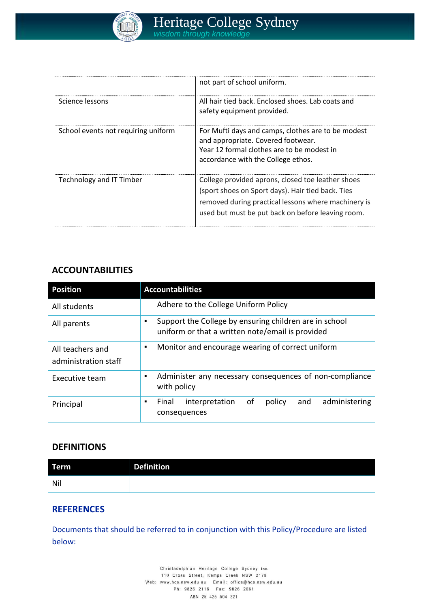

|                                     | not part of school uniform.                                                                                                                                                                                        |
|-------------------------------------|--------------------------------------------------------------------------------------------------------------------------------------------------------------------------------------------------------------------|
| Science lessons                     | All hair tied back. Enclosed shoes. Lab coats and<br>safety equipment provided.                                                                                                                                    |
| School events not requiring uniform | For Mufti days and camps, clothes are to be modest<br>and appropriate. Covered footwear.<br>Year 12 formal clothes are to be modest in<br>accordance with the College ethos.                                       |
| Technology and IT Timber            | College provided aprons, closed toe leather shoes<br>(sport shoes on Sport days). Hair tied back. Ties<br>removed during practical lessons where machinery is<br>used but must be put back on before leaving room. |

## **ACCOUNTABILITIES**

| <b>Position</b>                          | <b>Accountabilities</b>                                                                                    |
|------------------------------------------|------------------------------------------------------------------------------------------------------------|
| All students                             | Adhere to the College Uniform Policy                                                                       |
| All parents                              | Support the College by ensuring children are in school<br>uniform or that a written note/email is provided |
| All teachers and<br>administration staff | Monitor and encourage wearing of correct uniform<br>$\blacksquare$                                         |
| Executive team                           | Administer any necessary consequences of non-compliance<br>with policy                                     |
| Principal                                | 0f<br>interpretation<br>policy<br>and<br>administering<br>Final<br>consequences                            |

#### **DEFINITIONS**

| <b>Term</b> | <b>Definition</b> |
|-------------|-------------------|
| Nil         |                   |

### **REFERENCES**

Documents that should be referred to in conjunction with this Policy/Procedure are listed below:

> Christadelphian Heritage College Sydney Inc. 110 Cross Street, Kemps Creek NSW 2178 Web: www.hcs.nsw.edu.au Email: office@hcs.nsw.edu.au Ph: 9826 2116 Fax: 9826 2061 ABN 25 425 504 321